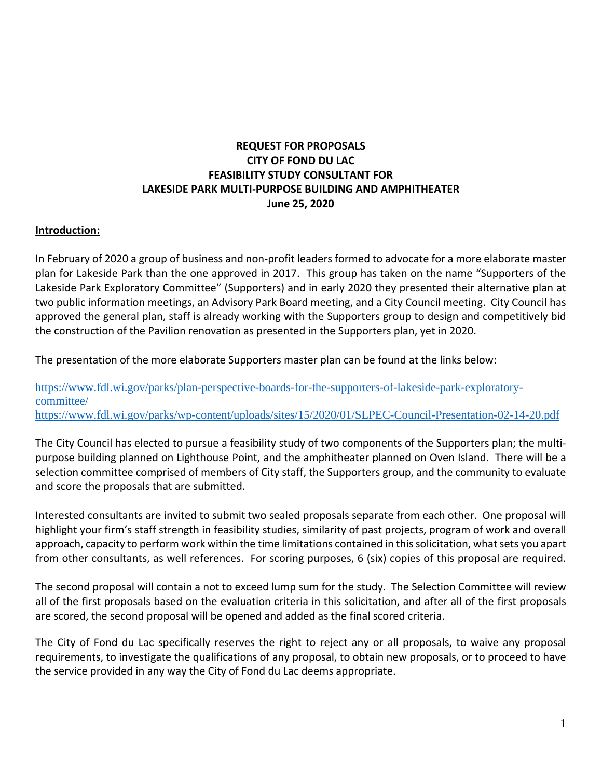# **REQUEST FOR PROPOSALS CITY OF FOND DU LAC FEASIBILITY STUDY CONSULTANT FOR LAKESIDE PARK MULTI-PURPOSE BUILDING AND AMPHITHEATER June 25, 2020**

#### **Introduction:**

In February of 2020 a group of business and non-profit leaders formed to advocate for a more elaborate master plan for Lakeside Park than the one approved in 2017. This group has taken on the name "Supporters of the Lakeside Park Exploratory Committee" (Supporters) and in early 2020 they presented their alternative plan at two public information meetings, an Advisory Park Board meeting, and a City Council meeting. City Council has approved the general plan, staff is already working with the Supporters group to design and competitively bid the construction of the Pavilion renovation as presented in the Supporters plan, yet in 2020.

The presentation of the more elaborate Supporters master plan can be found at the links below:

[https://www.fdl.wi.gov/parks/plan-perspective-boards-for-the-supporters-of-lakeside-park-exploratory](https://www.fdl.wi.gov/parks/plan-perspective-boards-for-the-supporters-of-lakeside-park-exploratory-committee/)[committee/](https://www.fdl.wi.gov/parks/plan-perspective-boards-for-the-supporters-of-lakeside-park-exploratory-committee/) <https://www.fdl.wi.gov/parks/wp-content/uploads/sites/15/2020/01/SLPEC-Council-Presentation-02-14-20.pdf>

The City Council has elected to pursue a feasibility study of two components of the Supporters plan; the multipurpose building planned on Lighthouse Point, and the amphitheater planned on Oven Island. There will be a selection committee comprised of members of City staff, the Supporters group, and the community to evaluate and score the proposals that are submitted.

Interested consultants are invited to submit two sealed proposals separate from each other. One proposal will highlight your firm's staff strength in feasibility studies, similarity of past projects, program of work and overall approach, capacity to perform work within the time limitations contained in this solicitation, what sets you apart from other consultants, as well references. For scoring purposes, 6 (six) copies of this proposal are required.

The second proposal will contain a not to exceed lump sum for the study. The Selection Committee will review all of the first proposals based on the evaluation criteria in this solicitation, and after all of the first proposals are scored, the second proposal will be opened and added as the final scored criteria.

The City of Fond du Lac specifically reserves the right to reject any or all proposals, to waive any proposal requirements, to investigate the qualifications of any proposal, to obtain new proposals, or to proceed to have the service provided in any way the City of Fond du Lac deems appropriate.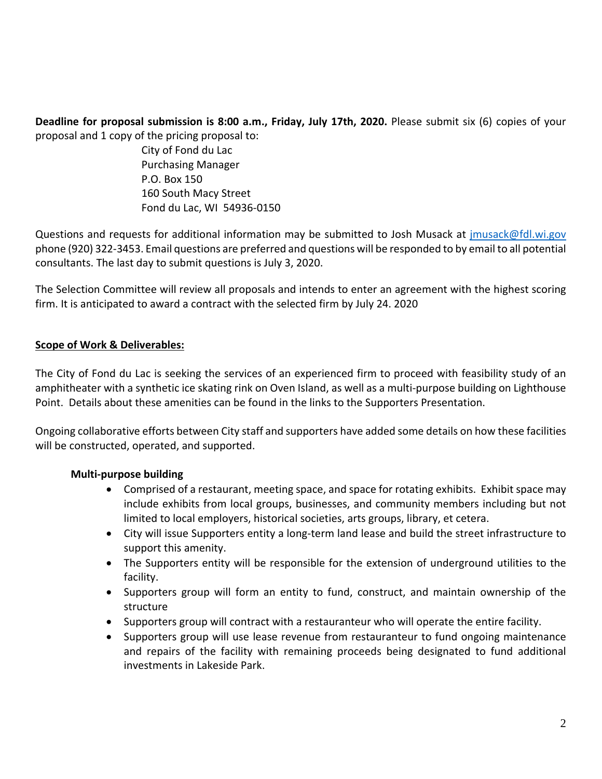**Deadline for proposal submission is 8:00 a.m., Friday, July 17th, 2020.** Please submit six (6) copies of your proposal and 1 copy of the pricing proposal to:

> City of Fond du Lac Purchasing Manager P.O. Box 150 160 South Macy Street Fond du Lac, WI 54936-0150

Questions and requests for additional information may be submitted to Josh Musack at imusack@fdl.wi.gov phone (920) 322-3453. Email questions are preferred and questions will be responded to by email to all potential consultants. The last day to submit questions is July 3, 2020.

The Selection Committee will review all proposals and intends to enter an agreement with the highest scoring firm. It is anticipated to award a contract with the selected firm by July 24. 2020

## **Scope of Work & Deliverables:**

The City of Fond du Lac is seeking the services of an experienced firm to proceed with feasibility study of an amphitheater with a synthetic ice skating rink on Oven Island, as well as a multi-purpose building on Lighthouse Point. Details about these amenities can be found in the links to the Supporters Presentation.

Ongoing collaborative efforts between City staff and supporters have added some details on how these facilities will be constructed, operated, and supported.

## **Multi-purpose building**

- Comprised of a restaurant, meeting space, and space for rotating exhibits. Exhibit space may include exhibits from local groups, businesses, and community members including but not limited to local employers, historical societies, arts groups, library, et cetera.
- City will issue Supporters entity a long-term land lease and build the street infrastructure to support this amenity.
- The Supporters entity will be responsible for the extension of underground utilities to the facility.
- Supporters group will form an entity to fund, construct, and maintain ownership of the structure
- Supporters group will contract with a restauranteur who will operate the entire facility.
- Supporters group will use lease revenue from restauranteur to fund ongoing maintenance and repairs of the facility with remaining proceeds being designated to fund additional investments in Lakeside Park.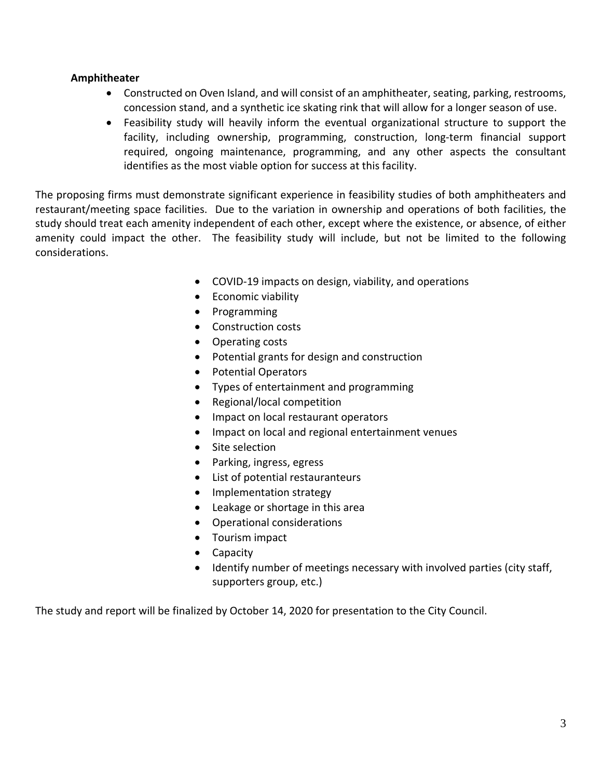#### **Amphitheater**

- Constructed on Oven Island, and will consist of an amphitheater, seating, parking, restrooms, concession stand, and a synthetic ice skating rink that will allow for a longer season of use.
- Feasibility study will heavily inform the eventual organizational structure to support the facility, including ownership, programming, construction, long-term financial support required, ongoing maintenance, programming, and any other aspects the consultant identifies as the most viable option for success at this facility.

The proposing firms must demonstrate significant experience in feasibility studies of both amphitheaters and restaurant/meeting space facilities. Due to the variation in ownership and operations of both facilities, the study should treat each amenity independent of each other, except where the existence, or absence, of either amenity could impact the other. The feasibility study will include, but not be limited to the following considerations.

- COVID-19 impacts on design, viability, and operations
- Economic viability
- Programming
- Construction costs
- Operating costs
- Potential grants for design and construction
- Potential Operators
- Types of entertainment and programming
- Regional/local competition
- Impact on local restaurant operators
- Impact on local and regional entertainment venues
- Site selection
- Parking, ingress, egress
- List of potential restauranteurs
- Implementation strategy
- Leakage or shortage in this area
- Operational considerations
- Tourism impact
- Capacity
- Identify number of meetings necessary with involved parties (city staff, supporters group, etc.)

The study and report will be finalized by October 14, 2020 for presentation to the City Council.